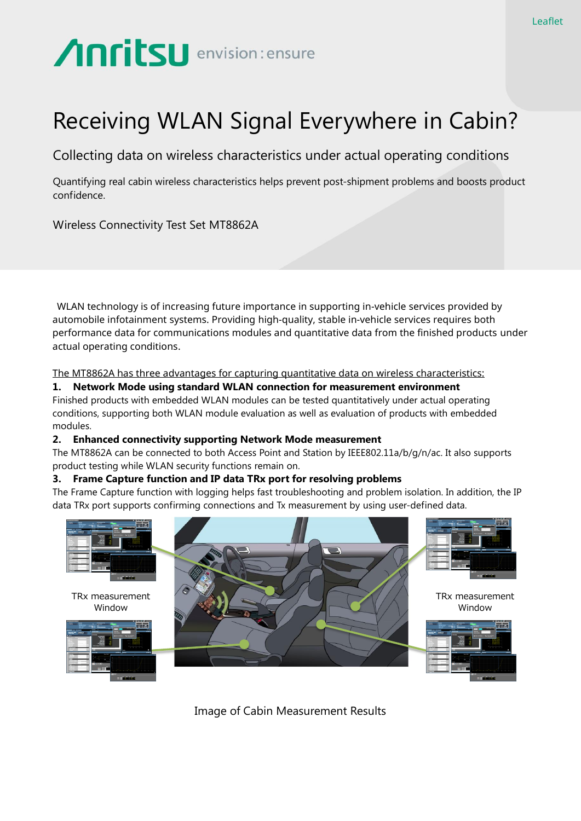# Anritsu envision: ensure

# Receiving WLAN Signal Everywhere in Cabin?

Collecting data on wireless characteristics under actual operating conditions

Quantifying real cabin wireless characteristics helps prevent post-shipment problems and boosts product confidence.

Wireless Connectivity Test Set MT8862A

WLAN technology is of increasing future importance in supporting in-vehicle services provided by automobile infotainment systems. Providing high-quality, stable in-vehicle services requires both performance data for communications modules and quantitative data from the finished products under actual operating conditions.

The MT8862A has three advantages for capturing quantitative data on wireless characteristics:

# **1. Network Mode using standard WLAN connection for measurement environment**

Finished products with embedded WLAN modules can be tested quantitatively under actual operating conditions, supporting both WLAN module evaluation as well as evaluation of products with embedded modules.

# **2. Enhanced connectivity supporting Network Mode measurement**

The MT8862A can be connected to both Access Point and Station by IEEE802.11a/b/g/n/ac. It also supports product testing while WLAN security functions remain on.

# **3. Frame Capture function and IP data TRx port for resolving problems**

The Frame Capture function with logging helps fast troubleshooting and problem isolation. In addition, the IP data TRx port supports confirming connections and Tx measurement by using user-defined data.



Image of Cabin Measurement Results